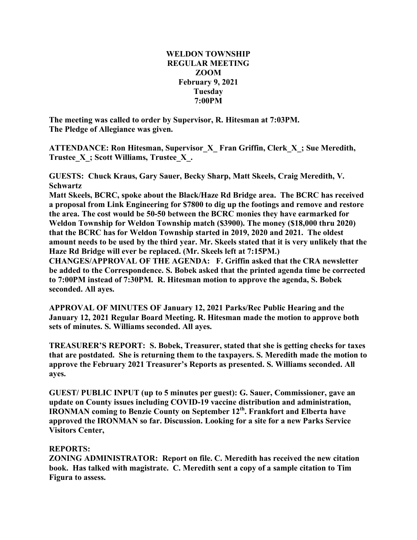## **WELDON TOWNSHIP REGULAR MEETING ZOOM February 9, 2021 Tuesday 7:00PM**

**The meeting was called to order by Supervisor, R. Hitesman at 7:03PM. The Pledge of Allegiance was given.**

**ATTENDANCE: Ron Hitesman, Supervisor\_X\_ Fran Griffin, Clerk\_X\_; Sue Meredith, Trustee\_X\_; Scott Williams, Trustee\_X\_.**

**GUESTS: Chuck Kraus, Gary Sauer, Becky Sharp, Matt Skeels, Craig Meredith, V. Schwartz**

**Matt Skeels, BCRC, spoke about the Black/Haze Rd Bridge area. The BCRC has received a proposal from Link Engineering for \$7800 to dig up the footings and remove and restore the area. The cost would be 50-50 between the BCRC monies they have earmarked for Weldon Township for Weldon Township match (\$3900). The money (\$18,000 thru 2020) that the BCRC has for Weldon Township started in 2019, 2020 and 2021. The oldest** amount needs to be used by the third year. Mr. Skeels stated that it is very unlikely that the **Haze Rd Bridge will ever be replaced. (Mr. Skeels left at 7:15PM.)**

**CHANGES/APPROVAL OF THE AGENDA: F. Griffin asked that the CRA newsletter be added to the Correspondence. S. Bobek asked that the printed agenda time be corrected to 7:00PM instead of 7:30PM. R. Hitesman motion to approve the agenda, S. Bobek seconded. All ayes.**

**APPROVAL OF MINUTES OF January 12, 2021 Parks/Rec Public Hearing and the January 12, 2021 Regular Board Meeting. R. Hitesman made the motion to approve both sets of minutes. S. Williams seconded. All ayes.**

**TREASURER'S REPORT: S. Bobek, Treasurer, stated that she is getting checks for taxes that are postdated. She is returning them to the taxpayers. S. Meredith made the motion to approve the February 2021 Treasurer's Reports as presented. S. Williams seconded. All ayes.**

**GUEST/ PUBLIC INPUT (up to 5 minutes per guest): G. Sauer, Commissioner, gave an update on County issues including COVID-19 vaccine distribution and administration, IRONMAN coming to Benzie County on September 12th. Frankfort and Elberta have approved the IRONMAN so far. Discussion. Looking for a site for a new Parks Service Visitors Center,**

## **REPORTS:**

**ZONING ADMINISTRATOR: Report on file. C. Meredith has received the new citation book. Has talked with magistrate. C. Meredith sent a copy of a sample citation to Tim Figura to assess.**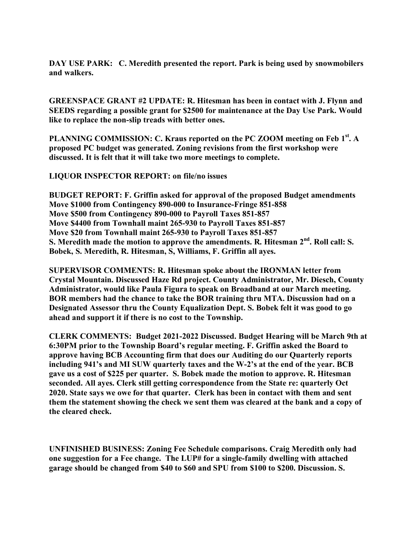**DAY USE PARK: C. Meredith presented the report. Park is being used by snowmobilers and walkers.**

**GREENSPACE GRANT #2 UPDATE: R. Hitesman has been in contact with J. Flynn and SEEDS regarding a possible grant for \$2500 for maintenance at the Day Use Park. Would like to replace the non-slip treads with better ones.**

**PLANNING COMMISSION: C. Kraus reported on the PC ZOOM meeting on Feb 1st . A proposed PC budget was generated. Zoning revisions from the first workshop were discussed. It is felt that it will take two more meetings to complete.**

**LIQUOR INSPECTOR REPORT: on file/no issues**

**BUDGET REPORT: F. Griffin asked for approval of the proposed Budget amendments Move \$1000 from Contingency 890-000 to Insurance-Fringe 851-858 Move \$500 from Contingency 890-000 to Payroll Taxes 851-857 Move \$4400 from Townhall maint 265-930 to Payroll Taxes 851-857 Move \$20 from Townhall maint 265-930 to Payroll Taxes 851-857 S. Meredith made the motion to approve the amendments. R. Hitesman 2nd . Roll call: S. Bobek, S. Meredith, R. Hitesman, S, Williams, F. Griffin all ayes.**

**SUPERVISOR COMMENTS: R. Hitesman spoke about the IRONMAN letter from Crystal Mountain. Discussed Haze Rd project. County Administrator, Mr. Diesch, County Administrator, would like Paula Figura to speak on Broadband at our March meeting. BOR members had the chance to take the BOR training thru MTA. Discussion had on a Designated Assessor thru the County Equalization Dept. S. Bobek felt it was good to go ahead and support it if there is no cost to the Township.**

**CLERK COMMENTS: Budget 2021-2022 Discussed. Budget Hearing will be March 9th at 6:30PM prior to the Township Board's regular meeting. F. Griffin asked the Board to approve having BCB Accounting firm that does our Auditing do our Quarterly reports including 941's and MI SUW quarterly taxes and the W-2's at the end of the year. BCB gave us a cost of \$225 per quarter. S. Bobek made the motion to approve. R. Hitesman seconded. All ayes. Clerk still getting correspondence from the State re: quarterly Oct 2020. State says we owe for that quarter. Clerk has been in contact with them and sent them the statement showing the check we sent them was cleared at the bank and a copy of the cleared check.**

**UNFINISHED BUSINESS: Zoning Fee Schedule comparisons. Craig Meredith only had one suggestion for a Fee change. The LUP# for a single-family dwelling with attached garage should be changed from \$40 to \$60 and SPU from \$100 to \$200. Discussion. S.**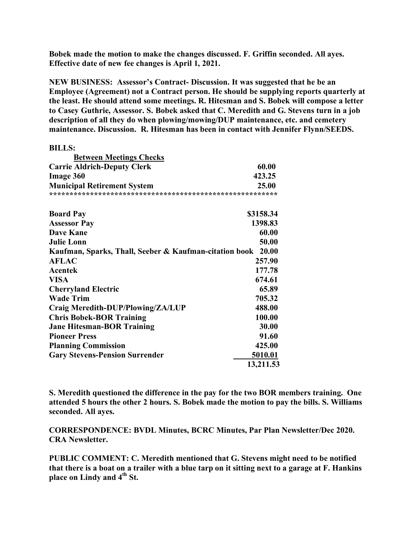**Bobek made the motion to make the changes discussed. F. Griffin seconded. All ayes. Effective date of new fee changes is April 1, 2021.**

**NEW BUSINESS: Assessor's Contract- Discussion. It was suggested that he be an Employee (Agreement) not a Contract person. He should be supplying reports quarterly at the least. He should attend some meetings. R. Hitesman and S. Bobek will compose a letter to Casey Guthrie, Assessor. S. Bobek asked that C. Meredith and G. Stevens turn in a job description of all they do when plowing/mowing/DUP maintenance, etc. and cemetery maintenance. Discussion. R. Hitesman has been in contact with Jennifer Flynn/SEEDS.**

| <b>BILLS:</b>                                                |           |
|--------------------------------------------------------------|-----------|
| <b>Between Meetings Checks</b>                               |           |
| <b>Carrie Aldrich-Deputy Clerk</b>                           | 60.00     |
| <b>Image 360</b>                                             | 423.25    |
| <b>Municipal Retirement System</b>                           | 25.00     |
|                                                              |           |
| <b>Board Pay</b>                                             | \$3158.34 |
| <b>Assessor Pay</b>                                          | 1398.83   |
| <b>Dave Kane</b>                                             | 60.00     |
| <b>Julie Lonn</b>                                            | 50.00     |
| Kaufman, Sparks, Thall, Seeber & Kaufman-citation book 20.00 |           |
| <b>AFLAC</b>                                                 | 257.90    |
| Acentek                                                      | 177.78    |
| VISA                                                         | 674.61    |
| <b>Cherryland Electric</b>                                   | 65.89     |
| <b>Wade Trim</b>                                             | 705.32    |
| Craig Meredith-DUP/Plowing/ZA/LUP                            | 488.00    |
| <b>Chris Bobek-BOR Training</b>                              | 100.00    |
| <b>Jane Hitesman-BOR Training</b>                            | 30.00     |
| <b>Pioneer Press</b>                                         | 91.60     |
| <b>Planning Commission</b>                                   | 425.00    |
| <b>Gary Stevens-Pension Surrender</b>                        | 5010.01   |
|                                                              | 13,211.53 |

**S. Meredith questioned the difference in the pay for the two BOR members training. One attended 5 hours the other 2 hours. S. Bobek made the motion to pay the bills. S. Williams seconded. All ayes.**

**CORRESPONDENCE: BVDL Minutes, BCRC Minutes, Par Plan Newsletter/Dec 2020. CRA Newsletter.**

**PUBLIC COMMENT: C. Meredith mentioned that G. Stevens might need to be notified** that there is a boat on a trailer with a blue tarp on it sitting next to a garage at F. Hankins **place on Lindy and 4th St.**